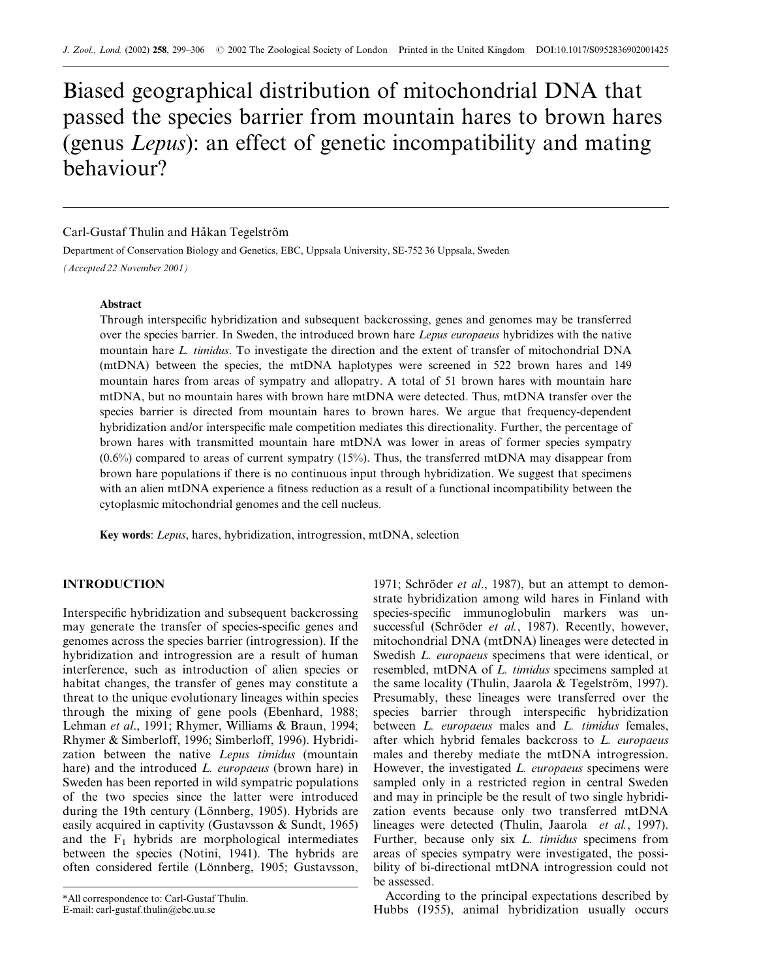# Biased geographical distribution of mitochondrial DNA that passed the species barrier from mountain hares to brown hares (genus Lepus): an effect of genetic incompatibility and mating behaviour?

# Carl-Gustaf Thulin and Håkan Tegelström

Department of Conservation Biology and Genetics, EBC, Uppsala University, SE-752 36 Uppsala, Sweden

(Accepted 22 November 2001)

#### Abstract

Through interspecific hybridization and subsequent backcrossing, genes and genomes may be transferred over the species barrier. In Sweden, the introduced brown hare *Lepus europaeus* hybridizes with the native mountain hare L. timidus. To investigate the direction and the extent of transfer of mitochondrial DNA (mtDNA) between the species, the mtDNA haplotypes were screened in 522 brown hares and 149 mountain hares from areas of sympatry and allopatry. A total of 51 brown hares with mountain hare mtDNA, but no mountain hares with brown hare mtDNA were detected. Thus, mtDNA transfer over the species barrier is directed from mountain hares to brown hares. We argue that frequency-dependent hybridization and/or interspecific male competition mediates this directionality. Further, the percentage of brown hares with transmitted mountain hare mtDNA was lower in areas of former species sympatry (0.6%) compared to areas of current sympatry (15%). Thus, the transferred mtDNA may disappear from brown hare populations if there is no continuous input through hybridization. We suggest that specimens with an alien mtDNA experience a fitness reduction as a result of a functional incompatibility between the cytoplasmic mitochondrial genomes and the cell nucleus.

Key words: Lepus, hares, hybridization, introgression, mtDNA, selection

# INTRODUCTION

Interspecific hybridization and subsequent backcrossing may generate the transfer of species-specific genes and genomes across the species barrier (introgression). If the hybridization and introgression are a result of human interference, such as introduction of alien species or habitat changes, the transfer of genes may constitute a threat to the unique evolutionary lineages within species through the mixing of gene pools (Ebenhard, 1988; Lehman et al., 1991; Rhymer, Williams & Braun, 1994; Rhymer & Simberloff, 1996; Simberloff, 1996). Hybridization between the native Lepus timidus (mountain hare) and the introduced *L. europaeus* (brown hare) in Sweden has been reported in wild sympatric populations of the two species since the latter were introduced during the 19th century (Lönnberg, 1905). Hybrids are easily acquired in captivity (Gustavsson & Sundt, 1965) and the  $F_1$  hybrids are morphological intermediates between the species (Notini, 1941). The hybrids are often considered fertile (Lönnberg, 1905; Gustavsson,

1971; Schröder et al., 1987), but an attempt to demonstrate hybridization among wild hares in Finland with species-specific immunoglobulin markers was unsuccessful (Schröder et al., 1987). Recently, however, mitochondrial DNA (mtDNA) lineages were detected in Swedish *L. europaeus* specimens that were identical, or resembled, mtDNA of L. timidus specimens sampled at the same locality (Thulin, Jaarola & Tegelström, 1997). Presumably, these lineages were transferred over the species barrier through interspecific hybridization between *L. europaeus* males and *L. timidus* females, after which hybrid females backcross to L. europaeus males and thereby mediate the mtDNA introgression. However, the investigated *L. europaeus* specimens were sampled only in a restricted region in central Sweden and may in principle be the result of two single hybridization events because only two transferred mtDNA lineages were detected (Thulin, Jaarola et al., 1997). Further, because only six *L. timidus* specimens from areas of species sympatry were investigated, the possibility of bi-directional mtDNA introgression could not be assessed.

According to the principal expectations described by Hubbs (1955), animal hybridization usually occurs

<sup>\*</sup>All correspondence to: Carl-Gustaf Thulin.

E-mail: carl-gustaf.thulin@ebc.uu.se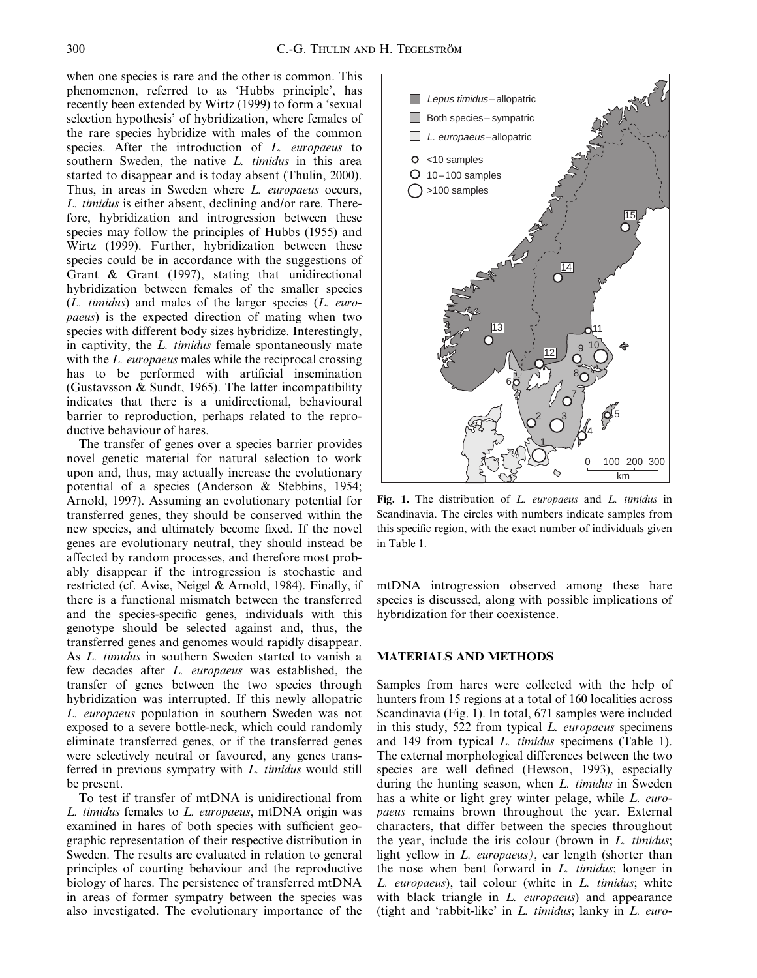when one species is rare and the other is common. This phenomenon, referred to as `Hubbs principle', has recently been extended by Wirtz (1999) to form a 'sexual selection hypothesis' of hybridization, where females of the rare species hybridize with males of the common species. After the introduction of L. europaeus to southern Sweden, the native *L. timidus* in this area started to disappear and is today absent (Thulin, 2000). Thus, in areas in Sweden where L. europaeus occurs, L. timidus is either absent, declining and/or rare. Therefore, hybridization and introgression between these species may follow the principles of Hubbs (1955) and Wirtz (1999). Further, hybridization between these species could be in accordance with the suggestions of Grant & Grant (1997), stating that unidirectional hybridization between females of the smaller species  $(L.$  timidus) and males of the larger species  $(L.$  europaeus) is the expected direction of mating when two species with different body sizes hybridize. Interestingly, in captivity, the L. timidus female spontaneously mate with the *L. europaeus* males while the reciprocal crossing has to be performed with artificial insemination (Gustavsson & Sundt, 1965). The latter incompatibility indicates that there is a unidirectional, behavioural barrier to reproduction, perhaps related to the reproductive behaviour of hares.

The transfer of genes over a species barrier provides novel genetic material for natural selection to work upon and, thus, may actually increase the evolutionary potential of a species (Anderson & Stebbins, 1954; Arnold, 1997). Assuming an evolutionary potential for transferred genes, they should be conserved within the new species, and ultimately become fixed. If the novel genes are evolutionary neutral, they should instead be affected by random processes, and therefore most probably disappear if the introgression is stochastic and restricted (cf. Avise, Neigel & Arnold, 1984). Finally, if there is a functional mismatch between the transferred and the species-specific genes, individuals with this genotype should be selected against and, thus, the transferred genes and genomes would rapidly disappear. As L. timidus in southern Sweden started to vanish a few decades after L. europaeus was established, the transfer of genes between the two species through hybridization was interrupted. If this newly allopatric L. europaeus population in southern Sweden was not exposed to a severe bottle-neck, which could randomly eliminate transferred genes, or if the transferred genes were selectively neutral or favoured, any genes transferred in previous sympatry with L. timidus would still be present.

To test if transfer of mtDNA is unidirectional from L. timidus females to L. europaeus, mtDNA origin was examined in hares of both species with sufficient geographic representation of their respective distribution in Sweden. The results are evaluated in relation to general principles of courting behaviour and the reproductive biology of hares. The persistence of transferred mtDNA in areas of former sympatry between the species was also investigated. The evolutionary importance of the



Fig. 1. The distribution of L. europaeus and L. timidus in Scandinavia. The circles with numbers indicate samples from this specific region, with the exact number of individuals given in Table 1.

mtDNA introgression observed among these hare species is discussed, along with possible implications of hybridization for their coexistence.

## MATERIALS AND METHODS

Samples from hares were collected with the help of hunters from 15 regions at a total of 160 localities across Scandinavia (Fig. 1). In total, 671 samples were included in this study, 522 from typical L. europaeus specimens and 149 from typical L. timidus specimens (Table 1). The external morphological differences between the two species are well defined (Hewson, 1993), especially during the hunting season, when L. timidus in Sweden has a white or light grey winter pelage, while L. europaeus remains brown throughout the year. External characters, that differ between the species throughout the year, include the iris colour (brown in L. timidus; light yellow in L. europaeus), ear length (shorter than the nose when bent forward in  $L$ . timidus; longer in L. europaeus), tail colour (white in L. timidus; white with black triangle in *L. europaeus*) and appearance (tight and 'rabbit-like' in  $L$ . timidus; lanky in  $L$ . euro-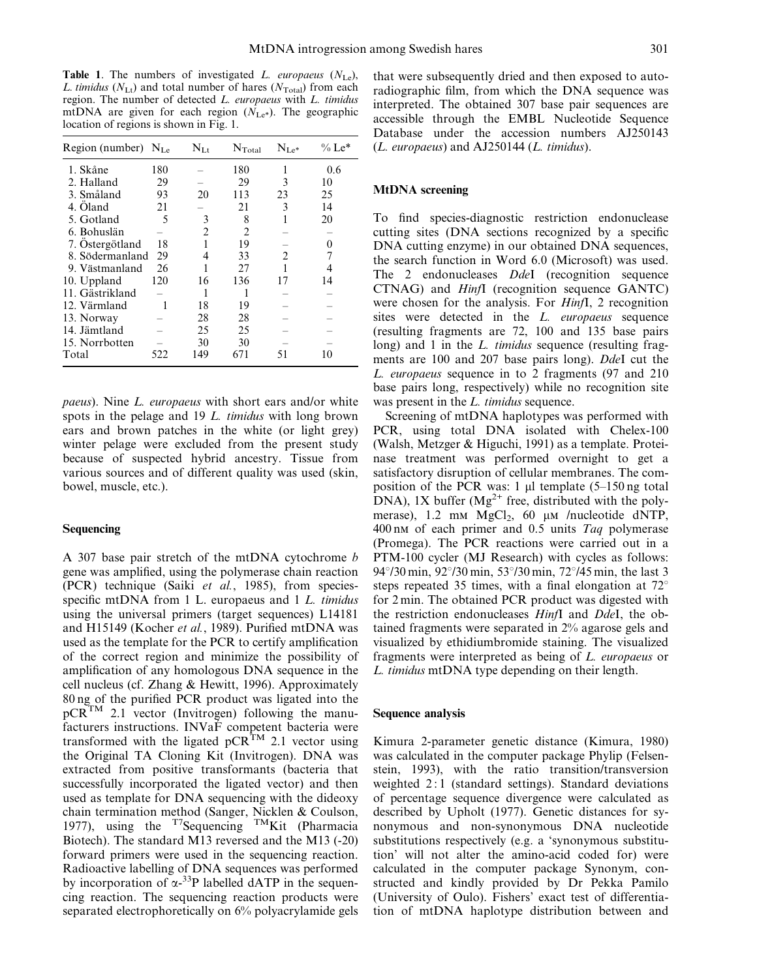Table 1. The numbers of investigated L. europaeus  $(N_{\text{Le}})$ , L. timidus ( $N_{\text{Lt}}$ ) and total number of hares ( $N_{\text{Total}}$ ) from each region. The number of detected L. europaeus with L. timidus mtDNA are given for each region  $(N_{\text{Le}})$ . The geographic location of regions is shown in Fig. 1.

| Region (number) $N_{\text{Le}}$ |     | $N_{Lt}$       | $N_{\text{Total}}$ | $N_{\rm Le^*}$ | $\%$ Le* |
|---------------------------------|-----|----------------|--------------------|----------------|----------|
| 1. Skåne                        | 180 |                | 180                |                | 0.6      |
| 2. Halland                      | 29  |                | 29                 | 3              | 10       |
| 3. Småland                      | 93  | 20             | 113                | 23             | 25       |
| 4. Öland                        | 21  |                | 21                 | 3              | 14       |
| 5. Gotland                      | 5   | 3              | 8                  |                | 20       |
| 6. Bohuslän                     |     | $\overline{c}$ | $\overline{c}$     |                |          |
| 7. Östergötland                 | 18  |                | 19                 |                | 0        |
| 8. Södermanland                 | 29  | 4              | 33                 | $\overline{c}$ |          |
| 9. Västmanland                  | 26  |                | 27                 |                |          |
| 10. Uppland                     | 120 | 16             | 136                | 17             | 14       |
| 11. Gästrikland                 |     |                |                    |                |          |
| 12. Värmland                    |     | 18             | 19                 |                |          |
| 13. Norway                      |     | 28             | 28                 |                |          |
| 14. Jämtland                    |     | 25             | 25                 |                |          |
| 15. Norrbotten                  |     | 30             | 30                 |                |          |
| Total                           | 522 | 149            | 671                | 51             | 10       |

paeus). Nine L. europaeus with short ears and/or white spots in the pelage and 19 L. *timidus* with long brown ears and brown patches in the white (or light grey) winter pelage were excluded from the present study because of suspected hybrid ancestry. Tissue from various sources and of different quality was used (skin, bowel, muscle, etc.).

#### Sequencing

A 307 base pair stretch of the mtDNA cytochrome  $b$ gene was amplified, using the polymerase chain reaction (PCR) technique (Saiki et al., 1985), from speciesspecific mtDNA from  $1$  L. europaeus and  $1$  L. timidus using the universal primers (target sequences) L14181 and H15149 (Kocher *et al.*, 1989). Purified mtDNA was used as the template for the PCR to certify amplification of the correct region and minimize the possibility of amplification of any homologous DNA sequence in the cell nucleus (cf. Zhang & Hewitt, 1996). Approximately 80 ng of the purified PCR product was ligated into the  $pCR^{TM}$  2.1 vector (Invitrogen) following the manufacturers instructions. INVaF competent bacteria were transformed with the ligated  $pCR^{TM}$  2.1 vector using the Original TA Cloning Kit (Invitrogen). DNA was extracted from positive transformants (bacteria that successfully incorporated the ligated vector) and then used as template for DNA sequencing with the dideoxy chain termination method (Sanger, Nicklen & Coulson, 1977), using the  $^{T7}$ Sequencing  $^{TM}$ Kit (Pharmacia Biotech). The standard M13 reversed and the M13 (-20) forward primers were used in the sequencing reaction. Radioactive labelling of DNA sequences was performed by incorporation of  $\alpha$ -<sup>33</sup>P labelled dATP in the sequencing reaction. The sequencing reaction products were separated electrophoretically on 6% polyacrylamide gels

that were subsequently dried and then exposed to autoradiographic film, from which the DNA sequence was interpreted. The obtained 307 base pair sequences are accessible through the EMBL Nucleotide Sequence Database under the accession numbers AJ250143 (L. europaeus) and AJ250144 (L. timidus).

### MtDNA screening

To find species-diagnostic restriction endonuclease cutting sites (DNA sections recognized by a specific DNA cutting enzyme) in our obtained DNA sequences, the search function in Word 6.0 (Microsoft) was used. The 2 endonucleases *DdeI* (recognition sequence CTNAG) and HinfI (recognition sequence GANTC) were chosen for the analysis. For HinfI, 2 recognition sites were detected in the *L. europaeus* sequence (resulting fragments are 72, 100 and 135 base pairs long) and 1 in the *L. timidus* sequence (resulting fragments are 100 and 207 base pairs long). DdeI cut the L. europaeus sequence in to 2 fragments (97 and 210 base pairs long, respectively) while no recognition site was present in the *L. timidus* sequence.

Screening of mtDNA haplotypes was performed with PCR, using total DNA isolated with Chelex-100 (Walsh, Metzger & Higuchi, 1991) as a template. Proteinase treatment was performed overnight to get a satisfactory disruption of cellular membranes. The composition of the PCR was: 1  $\mu$ l template (5–150 ng total DNA), 1X buffer  $(Mg^{2+}$  free, distributed with the polymerase), 1.2 mm  $MgCl<sub>2</sub>$ , 60 µm /nucleotide dNTP,  $400 \text{ nm}$  of each primer and 0.5 units Taq polymerase (Promega). The PCR reactions were carried out in a PTM-100 cycler (MJ Research) with cycles as follows: 94 $\degree$ /30 min, 92 $\degree$ /30 min, 53 $\degree$ /30 min, 72 $\degree$ /45 min, the last 3 steps repeated 35 times, with a final elongation at  $72^{\circ}$ for 2 min. The obtained PCR product was digested with the restriction endonucleases HinfI and DdeI, the obtained fragments were separated in 2% agarose gels and visualized by ethidiumbromide staining. The visualized fragments were interpreted as being of L. europaeus or L. timidus mtDNA type depending on their length.

#### Sequence analysis

Kimura 2-parameter genetic distance (Kimura, 1980) was calculated in the computer package Phylip (Felsenstein, 1993), with the ratio transition/transversion weighted 2 : 1 (standard settings). Standard deviations of percentage sequence divergence were calculated as described by Upholt (1977). Genetic distances for synonymous and non-synonymous DNA nucleotide substitutions respectively (e.g. a `synonymous substitution' will not alter the amino-acid coded for) were calculated in the computer package Synonym, constructed and kindly provided by Dr Pekka Pamilo (University of Oulo). Fishers' exact test of differentiation of mtDNA haplotype distribution between and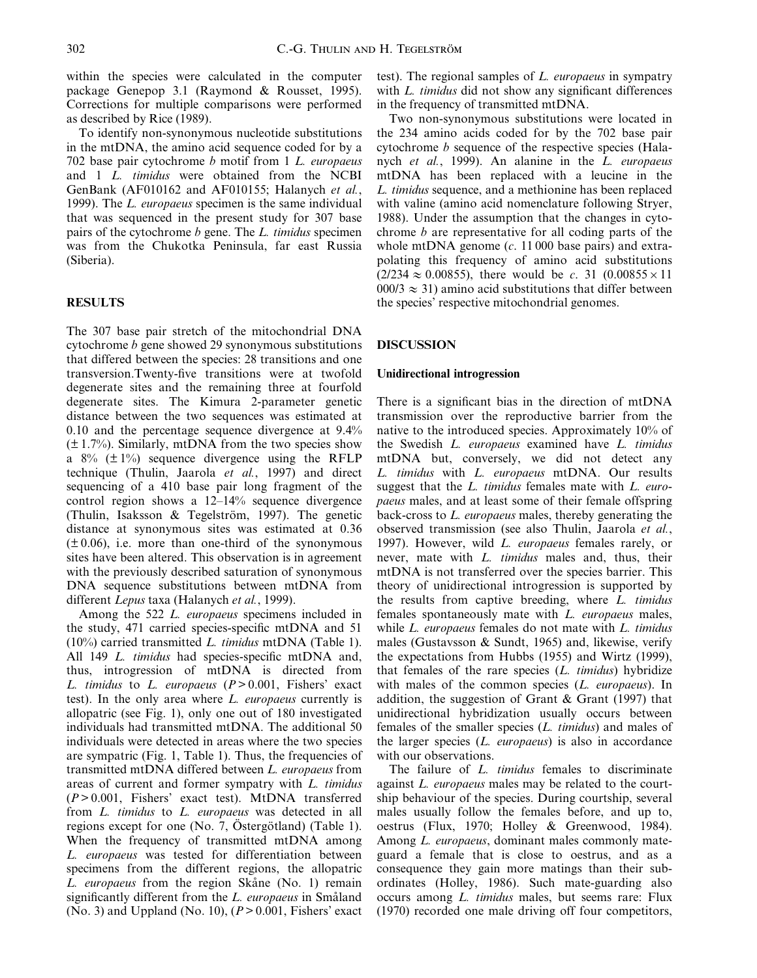within the species were calculated in the computer package Genepop 3.1 (Raymond & Rousset, 1995). Corrections for multiple comparisons were performed as described by Rice (1989).

To identify non-synonymous nucleotide substitutions in the mtDNA, the amino acid sequence coded for by a 702 base pair cytochrome b motif from 1 L. europaeus and 1 L. timidus were obtained from the NCBI GenBank (AF010162 and AF010155; Halanych et al., 1999). The L. europaeus specimen is the same individual that was sequenced in the present study for 307 base pairs of the cytochrome b gene. The L. timidus specimen was from the Chukotka Peninsula, far east Russia (Siberia).

### RESULTS

The 307 base pair stretch of the mitochondrial DNA cytochrome b gene showed 29 synonymous substitutions that differed between the species: 28 transitions and one transversion.Twenty-five transitions were at twofold degenerate sites and the remaining three at fourfold degenerate sites. The Kimura 2-parameter genetic distance between the two sequences was estimated at 0.10 and the percentage sequence divergence at 9.4%  $(\pm 1.7\%)$ . Similarly, mtDNA from the two species show a  $8\%$  ( $\pm 1\%$ ) sequence divergence using the RFLP technique (Thulin, Jaarola et al., 1997) and direct sequencing of a 410 base pair long fragment of the control region shows a  $12-14%$  sequence divergence (Thulin, Isaksson & Tegelström, 1997). The genetic distance at synonymous sites was estimated at 0.36  $(\pm 0.06)$ , i.e. more than one-third of the synonymous sites have been altered. This observation is in agreement with the previously described saturation of synonymous DNA sequence substitutions between mtDNA from different Lepus taxa (Halanych et al., 1999).

Among the 522 L. europaeus specimens included in the study, 471 carried species-specific mtDNA and 51  $(10\%)$  carried transmitted *L. timidus* mtDNA (Table 1). All 149 L. timidus had species-specific mtDNA and, thus, introgression of mtDNA is directed from L. timidus to L. europaeus  $(P > 0.001$ , Fishers' exact test). In the only area where L. europaeus currently is allopatric (see Fig. 1), only one out of 180 investigated individuals had transmitted mtDNA. The additional 50 individuals were detected in areas where the two species are sympatric (Fig. 1, Table 1). Thus, the frequencies of transmitted mtDNA differed between L. europaeus from areas of current and former sympatry with L. timidus  $(P > 0.001$ , Fishers' exact test). MtDNA transferred from L. timidus to L. europaeus was detected in all regions except for one (No. 7, Östergötland) (Table 1). When the frequency of transmitted mtDNA among L. europaeus was tested for differentiation between specimens from the different regions, the allopatric L. europaeus from the region Skåne (No. 1) remain significantly different from the L. europaeus in Småland (No. 3) and Uppland (No. 10),  $(P > 0.001$ , Fishers' exact test). The regional samples of L. europaeus in sympatry with  $L$ , *timidus* did not show any significant differences in the frequency of transmitted mtDNA.

Two non-synonymous substitutions were located in the 234 amino acids coded for by the 702 base pair cytochrome b sequence of the respective species (Halanych et al., 1999). An alanine in the L. europaeus mtDNA has been replaced with a leucine in the L. timidus sequence, and a methionine has been replaced with valine (amino acid nomenclature following Stryer, 1988). Under the assumption that the changes in cytochrome b are representative for all coding parts of the whole mtDNA genome  $(c. 11000$  base pairs) and extrapolating this frequency of amino acid substitutions  $(2/234 \approx 0.00855)$ , there would be c. 31  $(0.00855 \times 11)$  $000/3 \approx 31$ ) amino acid substitutions that differ between the species' respective mitochondrial genomes.

### DISCUSSION

#### Unidirectional introgression

There is a significant bias in the direction of mtDNA transmission over the reproductive barrier from the native to the introduced species. Approximately 10% of the Swedish L. europaeus examined have L. timidus mtDNA but, conversely, we did not detect any L. timidus with L. europaeus mtDNA. Our results suggest that the L. timidus females mate with L. europaeus males, and at least some of their female offspring back-cross to L. europaeus males, thereby generating the observed transmission (see also Thulin, Jaarola et al., 1997). However, wild L. europaeus females rarely, or never, mate with *L. timidus* males and, thus, their mtDNA is not transferred over the species barrier. This theory of unidirectional introgression is supported by the results from captive breeding, where L. timidus females spontaneously mate with L. europaeus males, while L. europaeus females do not mate with L. timidus males (Gustavsson & Sundt, 1965) and, likewise, verify the expectations from Hubbs (1955) and Wirtz (1999), that females of the rare species  $(L. \t{timidus})$  hybridize with males of the common species (L. europaeus). In addition, the suggestion of Grant & Grant (1997) that unidirectional hybridization usually occurs between females of the smaller species  $(L. \t{timidus})$  and males of the larger species  $(L.$  *europaeus*) is also in accordance with our observations.

The failure of *L. timidus* females to discriminate against L. europaeus males may be related to the courtship behaviour of the species. During courtship, several males usually follow the females before, and up to, oestrus (Flux, 1970; Holley & Greenwood, 1984). Among *L. europaeus*, dominant males commonly mateguard a female that is close to oestrus, and as a consequence they gain more matings than their subordinates (Holley, 1986). Such mate-guarding also occurs among L. timidus males, but seems rare: Flux (1970) recorded one male driving off four competitors,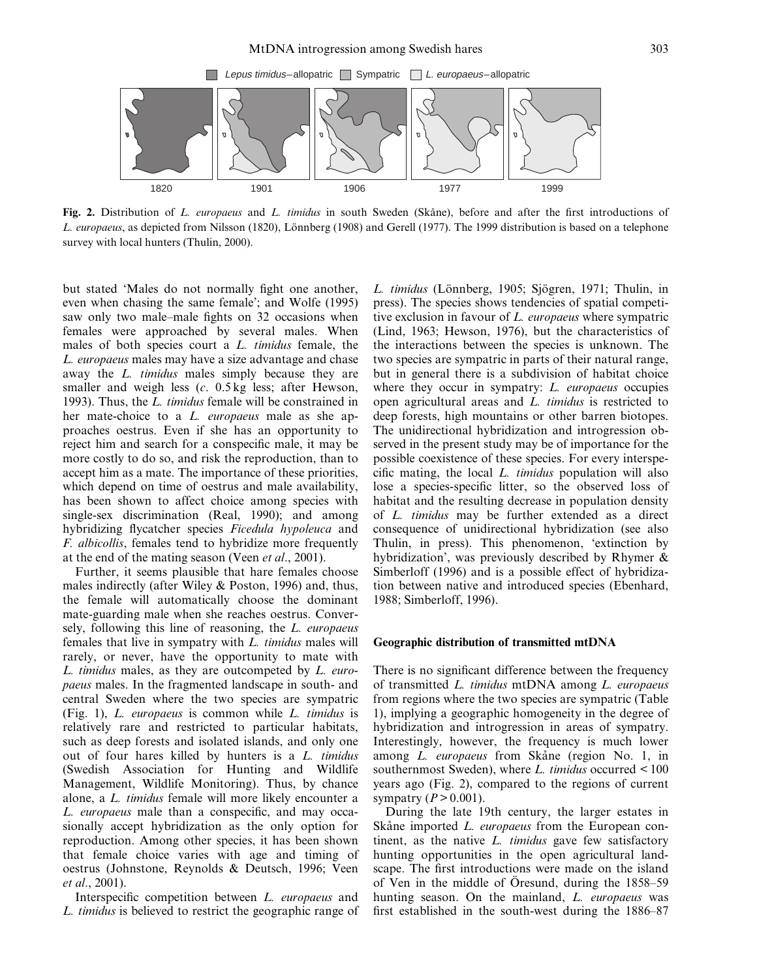

Fig. 2. Distribution of L. europaeus and L. timidus in south Sweden (Skåne), before and after the first introductions of L. europaeus, as depicted from Nilsson (1820), Lönnberg (1908) and Gerell (1977). The 1999 distribution is based on a telephone survey with local hunters (Thulin, 2000).

but stated 'Males do not normally fight one another, even when chasing the same female'; and Wolfe (1995) saw only two male-male fights on 32 occasions when females were approached by several males. When males of both species court a L. timidus female, the L. europaeus males may have a size advantage and chase away the L. timidus males simply because they are smaller and weigh less (c. 0.5 kg less; after Hewson, 1993). Thus, the L. timidus female will be constrained in her mate-choice to a *L. europaeus* male as she approaches oestrus. Even if she has an opportunity to reject him and search for a conspecific male, it may be more costly to do so, and risk the reproduction, than to accept him as a mate. The importance of these priorities, which depend on time of oestrus and male availability, has been shown to affect choice among species with single-sex discrimination (Real, 1990); and among hybridizing flycatcher species Ficedula hypoleuca and F. albicollis, females tend to hybridize more frequently at the end of the mating season (Veen *et al.*, 2001).

Further, it seems plausible that hare females choose males indirectly (after Wiley & Poston, 1996) and, thus, the female will automatically choose the dominant mate-guarding male when she reaches oestrus. Conversely, following this line of reasoning, the L. europaeus females that live in sympatry with L. *timidus* males will rarely, or never, have the opportunity to mate with L. timidus males, as they are outcompeted by L. europaeus males. In the fragmented landscape in south- and central Sweden where the two species are sympatric (Fig. 1), L. europaeus is common while L. timidus is relatively rare and restricted to particular habitats, such as deep forests and isolated islands, and only one out of four hares killed by hunters is a L. timidus (Swedish Association for Hunting and Wildlife Management, Wildlife Monitoring). Thus, by chance alone, a L. timidus female will more likely encounter a L. europaeus male than a conspecific, and may occasionally accept hybridization as the only option for reproduction. Among other species, it has been shown that female choice varies with age and timing of oestrus (Johnstone, Reynolds & Deutsch, 1996; Veen et al., 2001).

Interspecific competition between L. europaeus and L. timidus is believed to restrict the geographic range of L. timidus (Lönnberg, 1905; Sjögren, 1971; Thulin, in press). The species shows tendencies of spatial competitive exclusion in favour of L. europaeus where sympatric (Lind, 1963; Hewson, 1976), but the characteristics of the interactions between the species is unknown. The two species are sympatric in parts of their natural range, but in general there is a subdivision of habitat choice where they occur in sympatry: *L. europaeus* occupies open agricultural areas and L. timidus is restricted to deep forests, high mountains or other barren biotopes. The unidirectional hybridization and introgression observed in the present study may be of importance for the possible coexistence of these species. For every interspecific mating, the local  $L$ . *timidus* population will also lose a species-specific litter, so the observed loss of habitat and the resulting decrease in population density of L. timidus may be further extended as a direct consequence of unidirectional hybridization (see also Thulin, in press). This phenomenon, `extinction by hybridization', was previously described by Rhymer & Simberloff (1996) and is a possible effect of hybridization between native and introduced species (Ebenhard, 1988; Simberloff, 1996).

#### Geographic distribution of transmitted mtDNA

There is no significant difference between the frequency of transmitted L. timidus mtDNA among L. europaeus from regions where the two species are sympatric (Table 1), implying a geographic homogeneity in the degree of hybridization and introgression in areas of sympatry. Interestingly, however, the frequency is much lower among  $L$ , europaeus from Skåne (region No. 1, in southernmost Sweden), where  $L$ . timidus occurred  $\leq 100$ years ago (Fig. 2), compared to the regions of current sympatry  $(P > 0.001)$ .

During the late 19th century, the larger estates in Skåne imported *L. europaeus* from the European continent, as the native L. timidus gave few satisfactory hunting opportunities in the open agricultural landscape. The first introductions were made on the island of Ven in the middle of Oresund, during the 1858–59 hunting season. On the mainland, L. europaeus was first established in the south-west during the  $1886-87$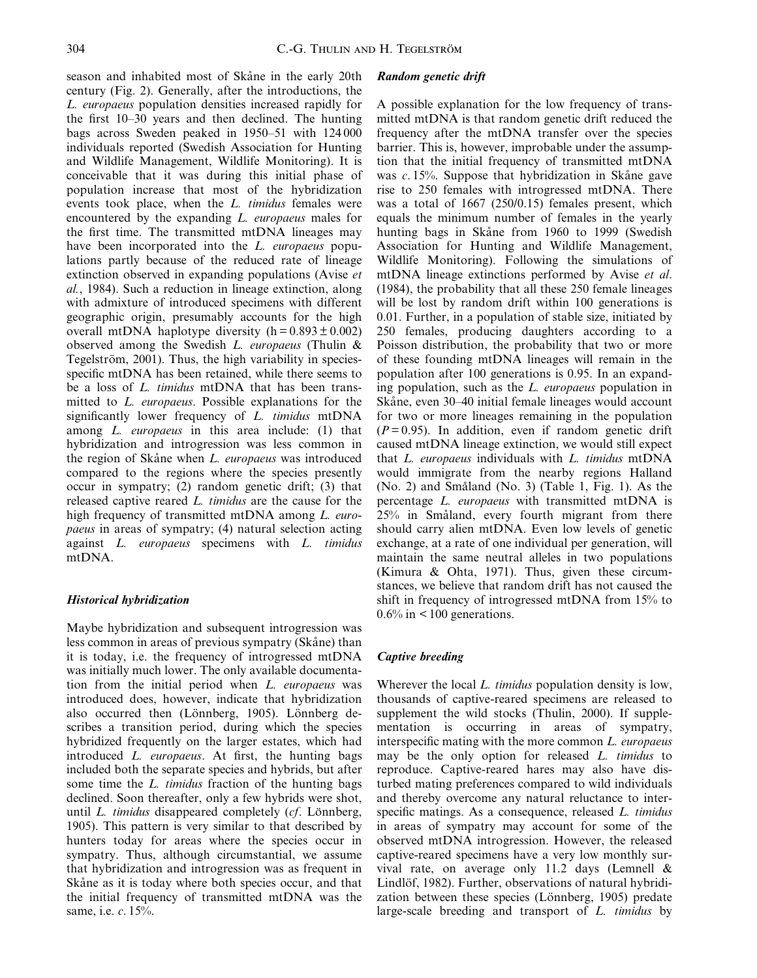season and inhabited most of Skåne in the early 20th century (Fig. 2). Generally, after the introductions, the L. europaeus population densities increased rapidly for the first  $10-30$  years and then declined. The hunting bags across Sweden peaked in  $1950-51$  with  $124\,000$ individuals reported (Swedish Association for Hunting and Wildlife Management, Wildlife Monitoring). It is conceivable that it was during this initial phase of population increase that most of the hybridization events took place, when the L. timidus females were encountered by the expanding L. europaeus males for the first time. The transmitted mtDNA lineages may have been incorporated into the L. europaeus populations partly because of the reduced rate of lineage extinction observed in expanding populations (Avise et al., 1984). Such a reduction in lineage extinction, along with admixture of introduced specimens with different geographic origin, presumably accounts for the high overall mtDNA haplotype diversity  $(h = 0.893 \pm 0.002)$ observed among the Swedish L. europaeus (Thulin & Tegelström, 2001). Thus, the high variability in speciesspecific mtDNA has been retained, while there seems to be a loss of *L. timidus* mtDNA that has been transmitted to L. europaeus. Possible explanations for the significantly lower frequency of  $L$ . timidus mtDNA among L. europaeus in this area include: (1) that hybridization and introgression was less common in the region of Skåne when  $L$ . *europaeus* was introduced compared to the regions where the species presently occur in sympatry; (2) random genetic drift; (3) that released captive reared L. timidus are the cause for the high frequency of transmitted mtDNA among L. europaeus in areas of sympatry; (4) natural selection acting against L. europaeus specimens with L. timidus mtDNA.

# Historical hybridization

Maybe hybridization and subsequent introgression was less common in areas of previous sympatry (Skåne) than it is today, i.e. the frequency of introgressed mtDNA was initially much lower. The only available documentation from the initial period when L. europaeus was introduced does, however, indicate that hybridization also occurred then (Lönnberg, 1905). Lönnberg describes a transition period, during which the species hybridized frequently on the larger estates, which had introduced *L. europaeus*. At first, the hunting bags included both the separate species and hybrids, but after some time the L. *timidus* fraction of the hunting bags declined. Soon thereafter, only a few hybrids were shot, until  $L$ . timidus disappeared completely  $(cf.$  Lönnberg, 1905). This pattern is very similar to that described by hunters today for areas where the species occur in sympatry. Thus, although circumstantial, we assume that hybridization and introgression was as frequent in Skåne as it is today where both species occur, and that the initial frequency of transmitted mtDNA was the same, i.e. c. 15%.

#### Random genetic drift

A possible explanation for the low frequency of transmitted mtDNA is that random genetic drift reduced the frequency after the mtDNA transfer over the species barrier. This is, however, improbable under the assumption that the initial frequency of transmitted mtDNA was  $c$ . 15%. Suppose that hybridization in Skåne gave rise to 250 females with introgressed mtDNA. There was a total of 1667 (250/0.15) females present, which equals the minimum number of females in the yearly hunting bags in Skåne from 1960 to 1999 (Swedish Association for Hunting and Wildlife Management, Wildlife Monitoring). Following the simulations of mtDNA lineage extinctions performed by Avise et al. (1984), the probability that all these 250 female lineages will be lost by random drift within 100 generations is 0.01. Further, in a population of stable size, initiated by 250 females, producing daughters according to a Poisson distribution, the probability that two or more of these founding mtDNA lineages will remain in the population after 100 generations is 0.95. In an expanding population, such as the L. europaeus population in Skåne, even 30–40 initial female lineages would account for two or more lineages remaining in the population  $(P=0.95)$ . In addition, even if random genetic drift caused mtDNA lineage extinction, we would still expect that L. europaeus individuals with L. timidus mtDNA would immigrate from the nearby regions Halland  $(No. 2)$  and Småland  $(No. 3)$  (Table 1, Fig. 1). As the percentage L. europaeus with transmitted mtDNA is  $25%$  in Småland, every fourth migrant from there should carry alien mtDNA. Even low levels of genetic exchange, at a rate of one individual per generation, will maintain the same neutral alleles in two populations (Kimura & Ohta, 1971). Thus, given these circumstances, we believe that random drift has not caused the shift in frequency of introgressed mtDNA from 15% to  $0.6\%$  in  $\leq 100$  generations.

#### Captive breeding

Wherever the local *L. timidus* population density is low, thousands of captive-reared specimens are released to supplement the wild stocks (Thulin, 2000). If supplementation is occurring in areas of sympatry, interspecific mating with the more common  $L$ . *europaeus* may be the only option for released L. timidus to reproduce. Captive-reared hares may also have disturbed mating preferences compared to wild individuals and thereby overcome any natural reluctance to interspecific matings. As a consequence, released L. timidus in areas of sympatry may account for some of the observed mtDNA introgression. However, the released captive-reared specimens have a very low monthly survival rate, on average only 11.2 days (Lemnell & Lindlöf, 1982). Further, observations of natural hybridization between these species (Lönnberg, 1905) predate large-scale breeding and transport of L. timidus by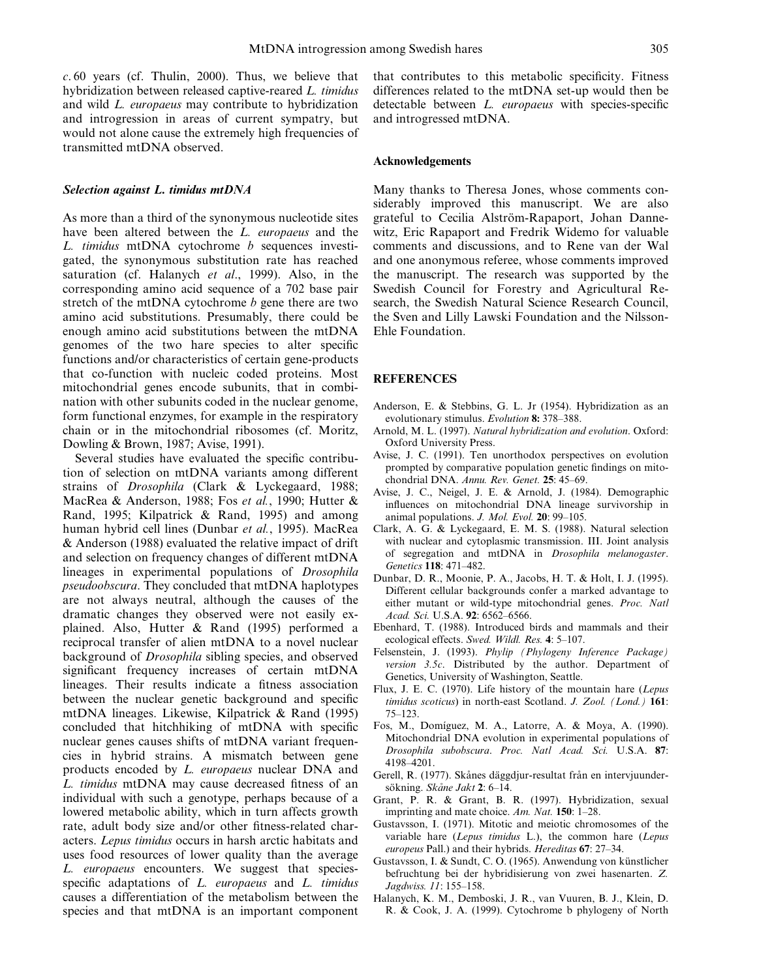$c. 60$  years (cf. Thulin, 2000). Thus, we believe that hybridization between released captive-reared L. timidus and wild L. europaeus may contribute to hybridization and introgression in areas of current sympatry, but would not alone cause the extremely high frequencies of transmitted mtDNA observed.

#### Selection against L. timidus mtDNA

As more than a third of the synonymous nucleotide sites have been altered between the *L. europaeus* and the L. timidus mtDNA cytochrome  $b$  sequences investigated, the synonymous substitution rate has reached saturation (cf. Halanych et al., 1999). Also, in the corresponding amino acid sequence of a 702 base pair stretch of the mtDNA cytochrome  $b$  gene there are two amino acid substitutions. Presumably, there could be enough amino acid substitutions between the mtDNA genomes of the two hare species to alter specific functions and/or characteristics of certain gene-products that co-function with nucleic coded proteins. Most mitochondrial genes encode subunits, that in combination with other subunits coded in the nuclear genome, form functional enzymes, for example in the respiratory chain or in the mitochondrial ribosomes (cf. Moritz, Dowling & Brown, 1987; Avise, 1991).

Several studies have evaluated the specific contribution of selection on mtDNA variants among different strains of Drosophila (Clark & Lyckegaard, 1988; MacRea & Anderson, 1988; Fos et al., 1990; Hutter & Rand, 1995; Kilpatrick & Rand, 1995) and among human hybrid cell lines (Dunbar et al., 1995). MacRea & Anderson (1988) evaluated the relative impact of drift and selection on frequency changes of different mtDNA lineages in experimental populations of Drosophila pseudoobscura. They concluded that mtDNA haplotypes are not always neutral, although the causes of the dramatic changes they observed were not easily explained. Also, Hutter & Rand (1995) performed a reciprocal transfer of alien mtDNA to a novel nuclear background of Drosophila sibling species, and observed significant frequency increases of certain mtDNA lineages. Their results indicate a fitness association between the nuclear genetic background and specific mtDNA lineages. Likewise, Kilpatrick & Rand (1995) concluded that hitchhiking of mtDNA with specific nuclear genes causes shifts of mtDNA variant frequencies in hybrid strains. A mismatch between gene products encoded by L. europaeus nuclear DNA and L. *timidus* mtDNA may cause decreased fitness of an individual with such a genotype, perhaps because of a lowered metabolic ability, which in turn affects growth rate, adult body size and/or other fitness-related characters. Lepus timidus occurs in harsh arctic habitats and uses food resources of lower quality than the average L. europaeus encounters. We suggest that speciesspecific adaptations of  $L$ . *europaeus* and  $L$ . *timidus* causes a differentiation of the metabolism between the species and that mtDNA is an important component that contributes to this metabolic specificity. Fitness differences related to the mtDNA set-up would then be detectable between *L. europaeus* with species-specific and introgressed mtDNA.

#### Acknowledgements

Many thanks to Theresa Jones, whose comments considerably improved this manuscript. We are also grateful to Cecilia Alström-Rapaport, Johan Dannewitz, Eric Rapaport and Fredrik Widemo for valuable comments and discussions, and to Rene van der Wal and one anonymous referee, whose comments improved the manuscript. The research was supported by the Swedish Council for Forestry and Agricultural Research, the Swedish Natural Science Research Council, the Sven and Lilly Lawski Foundation and the Nilsson-Ehle Foundation.

#### **REFERENCES**

- Anderson, E. & Stebbins, G. L. Jr (1954). Hybridization as an evolutionary stimulus. Evolution 8: 378-388.
- Arnold, M. L. (1997). Natural hybridization and evolution. Oxford: Oxford University Press.
- Avise, J. C. (1991). Ten unorthodox perspectives on evolution prompted by comparative population genetic findings on mitochondrial DNA. Annu. Rev. Genet. 25: 45-69.
- Avise, J. C., Neigel, J. E. & Arnold, J. (1984). Demographic influences on mitochondrial DNA lineage survivorship in animal populations. J. Mol. Evol. 20: 99-105.
- Clark, A. G. & Lyckegaard, E. M. S. (1988). Natural selection with nuclear and cytoplasmic transmission. III. Joint analysis of segregation and mtDNA in Drosophila melanogaster. Genetics 118: 471-482.
- Dunbar, D. R., Moonie, P. A., Jacobs, H. T. & Holt, I. J. (1995). Different cellular backgrounds confer a marked advantage to either mutant or wild-type mitochondrial genes. Proc. Natl Acad. Sci. U.S.A. 92: 6562-6566.
- Ebenhard, T. (1988). Introduced birds and mammals and their ecological effects. Swed. Wildl. Res. 4: 5-107.
- Felsenstein, J. (1993). Phylip (Phylogeny Inference Package) version 3.5c. Distributed by the author. Department of Genetics, University of Washington, Seattle.
- Flux, J. E. C. (1970). Life history of the mountain hare (Lepus timidus scoticus) in north-east Scotland. J. Zool. (Lond.) 161: 75±123.
- Fos, M., Domíguez, M. A., Latorre, A. & Moya, A. (1990). Mitochondrial DNA evolution in experimental populations of Drosophila subobscura. Proc. Natl Acad. Sci. U.S.A. 87: 4198±4201.
- Gerell, R. (1977). Skånes däggdjur-resultat från en intervjuundersökning. Skåne Jakt 2: 6-14.
- Grant, P. R. & Grant, B. R. (1997). Hybridization, sexual imprinting and mate choice.  $Am. Nat.$  150: 1-28.
- Gustavsson, I. (1971). Mitotic and meiotic chromosomes of the variable hare (Lepus timidus L.), the common hare (Lepus europeus Pall.) and their hybrids. Hereditas 67: 27-34.
- Gustavsson, I. & Sundt, C. O. (1965). Anwendung von künstlicher befruchtung bei der hybridisierung von zwei hasenarten. Z. Jagdwiss. 11: 155-158.
- Halanych, K. M., Demboski, J. R., van Vuuren, B. J., Klein, D. R. & Cook, J. A. (1999). Cytochrome b phylogeny of North